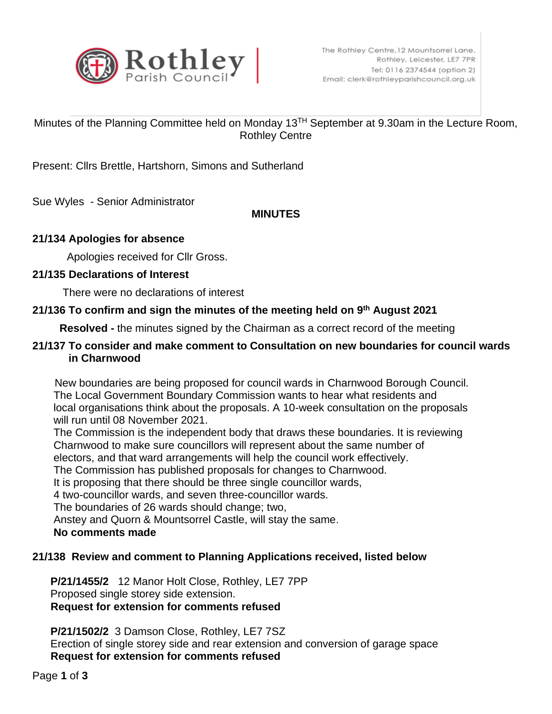

# Minutes of the Planning Committee held on Monday 13TH September at 9.30am in the Lecture Room, Rothley Centre

Present: Cllrs Brettle, Hartshorn, Simons and Sutherland

Sue Wyles - Senior Administrator

## **MINUTES**

## **21/134 Apologies for absence**

Apologies received for Cllr Gross.

## **21/135 Declarations of Interest**

There were no declarations of interest

## **21/136 To confirm and sign the minutes of the meeting held on 9 th August 2021**

 **Resolved -** the minutes signed by the Chairman as a correct record of the meeting

## **21/137 To consider and make comment to Consultation on new boundaries for council wards in Charnwood**

 New boundaries are being proposed for council wards in Charnwood Borough Council. The Local Government Boundary Commission wants to hear what residents and local organisations think about the proposals. A 10-week consultation on the proposals will run until 08 November 2021.

 The Commission is the independent body that draws these boundaries. It is reviewing Charnwood to make sure councillors will represent about the same number of electors, and that ward arrangements will help the council work effectively.

The Commission has published proposals for changes to Charnwood.

It is proposing that there should be three single councillor wards,

4 two-councillor wards, and seven three-councillor wards.

The boundaries of 26 wards should change; two,

Anstey and Quorn & Mountsorrel Castle, will stay the same.

#### **No comments made**

# **21/138 Review and comment to Planning Applications received, listed below**

 **P/21/1455/2** 12 Manor Holt Close, Rothley, LE7 7PP Proposed single storey side extension. **Request for extension for comments refused**

 **P/21/1502/2** 3 Damson Close, Rothley, LE7 7SZ Erection of single storey side and rear extension and conversion of garage space **Request for extension for comments refused**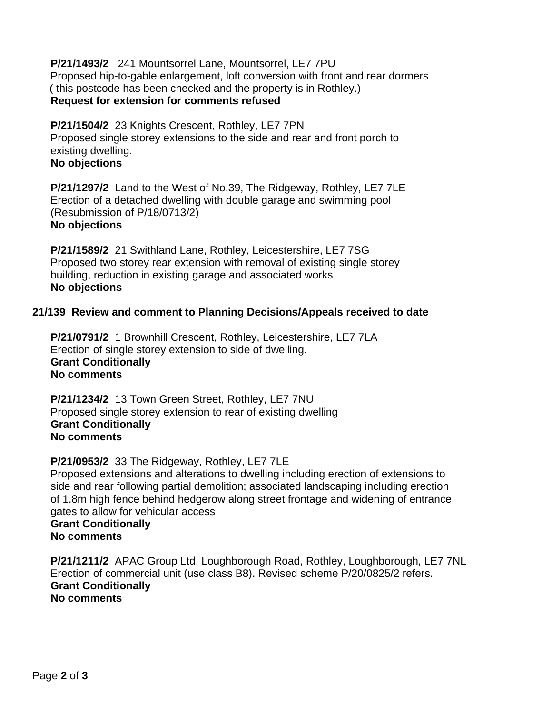**P/21/1493/2** 241 Mountsorrel Lane, Mountsorrel, LE7 7PU Proposed hip-to-gable enlargement, loft conversion with front and rear dormers ( this postcode has been checked and the property is in Rothley.) **Request for extension for comments refused**

 **P/21/1504/2** 23 Knights Crescent, Rothley, LE7 7PN Proposed single storey extensions to the side and rear and front porch to existing dwelling. **No objections**

 **P/21/1297/2** Land to the West of No.39, The Ridgeway, Rothley, LE7 7LE Erection of a detached dwelling with double garage and swimming pool (Resubmission of P/18/0713/2) **No objections**

 **P/21/1589/2** 21 Swithland Lane, Rothley, Leicestershire, LE7 7SG Proposed two storey rear extension with removal of existing single storey building, reduction in existing garage and associated works **No objections**

## **21/139 Review and comment to Planning Decisions/Appeals received to date**

 **P/21/0791/2** 1 Brownhill Crescent, Rothley, Leicestershire, LE7 7LA Erection of single storey extension to side of dwelling. **Grant Conditionally No comments**

 **P/21/1234/2** 13 Town Green Street, Rothley, LE7 7NU Proposed single storey extension to rear of existing dwelling **Grant Conditionally No comments**

#### **P/21/0953/2** 33 The Ridgeway, Rothley, LE7 7LE

 Proposed extensions and alterations to dwelling including erection of extensions to side and rear following partial demolition; associated landscaping including erection of 1.8m high fence behind hedgerow along street frontage and widening of entrance gates to allow for vehicular access

 **Grant Conditionally No comments**

 **P/21/1211/2** APAC Group Ltd, Loughborough Road, Rothley, Loughborough, LE7 7NL Erection of commercial unit (use class B8). Revised scheme P/20/0825/2 refers.  **Grant Conditionally No comments**